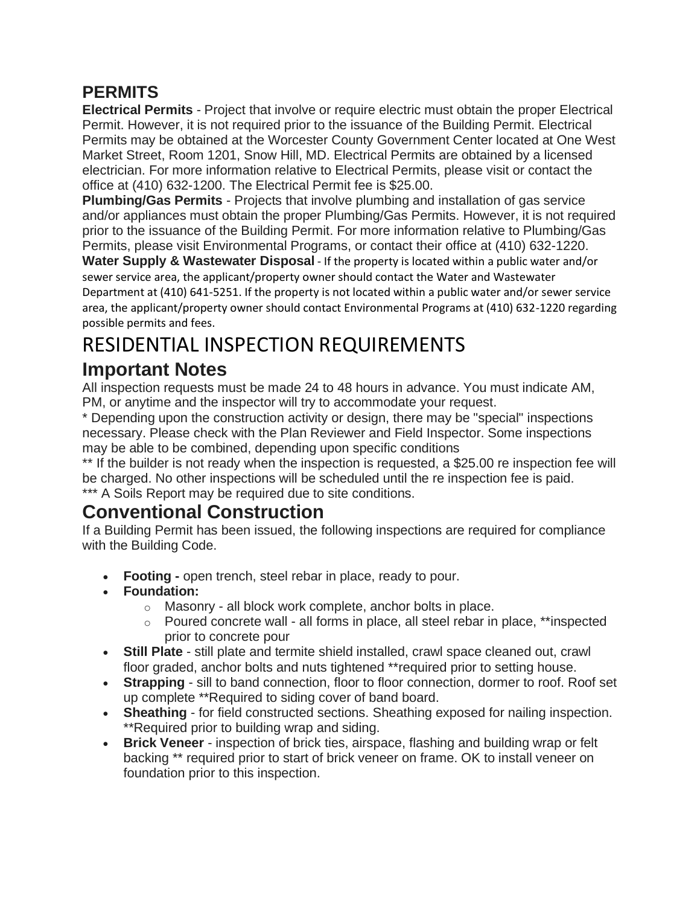#### **PERMITS**

**Electrical Permits** - Project that involve or require electric must obtain the proper Electrical Permit. However, it is not required prior to the issuance of the Building Permit. Electrical Permits may be obtained at the Worcester County Government Center located at One West Market Street, Room 1201, Snow Hill, MD. Electrical Permits are obtained by a licensed electrician. For more information relative to Electrical Permits, please visit or contact the office at (410) 632-1200. The Electrical Permit fee is \$25.00.

**Plumbing/Gas Permits** - Projects that involve plumbing and installation of gas service and/or appliances must obtain the proper Plumbing/Gas Permits. However, it is not required prior to the issuance of the Building Permit. For more information relative to Plumbing/Gas Permits, please visit Environmental Programs, or contact their office at (410) 632-1220.

**Water Supply & Wastewater Disposal** - If the property is located within a public water and/or sewer service area, the applicant/property owner should contact the Water and Wastewater Department at (410) 641-5251. If the property is not located within a public water and/or sewer service area, the applicant/property owner should contact Environmental Programs at (410) 632-1220 regarding possible permits and fees.

# RESIDENTIAL INSPECTION REQUIREMENTS

### **Important Notes**

All inspection requests must be made 24 to 48 hours in advance. You must indicate AM, PM, or anytime and the inspector will try to accommodate your request.

\* Depending upon the construction activity or design, there may be "special" inspections necessary. Please check with the Plan Reviewer and Field Inspector. Some inspections may be able to be combined, depending upon specific conditions

\*\* If the builder is not ready when the inspection is requested, a \$25.00 re inspection fee will be charged. No other inspections will be scheduled until the re inspection fee is paid. \*\*\* A Soils Report may be required due to site conditions.

## **Conventional Construction**

If a Building Permit has been issued, the following inspections are required for compliance with the Building Code.

- **Footing -** open trench, steel rebar in place, ready to pour.
- **Foundation:**
	- o Masonry all block work complete, anchor bolts in place.
	- $\circ$  Poured concrete wall all forms in place, all steel rebar in place, \*\*inspected prior to concrete pour
- **Still Plate** still plate and termite shield installed, crawl space cleaned out, crawl floor graded, anchor bolts and nuts tightened \*\*required prior to setting house.
- **Strapping** sill to band connection, floor to floor connection, dormer to roof. Roof set up complete \*\*Required to siding cover of band board.
- **Sheathing** for field constructed sections. Sheathing exposed for nailing inspection. \*\*Required prior to building wrap and siding.
- **Brick Veneer** inspection of brick ties, airspace, flashing and building wrap or felt backing \*\* required prior to start of brick veneer on frame. OK to install veneer on foundation prior to this inspection.